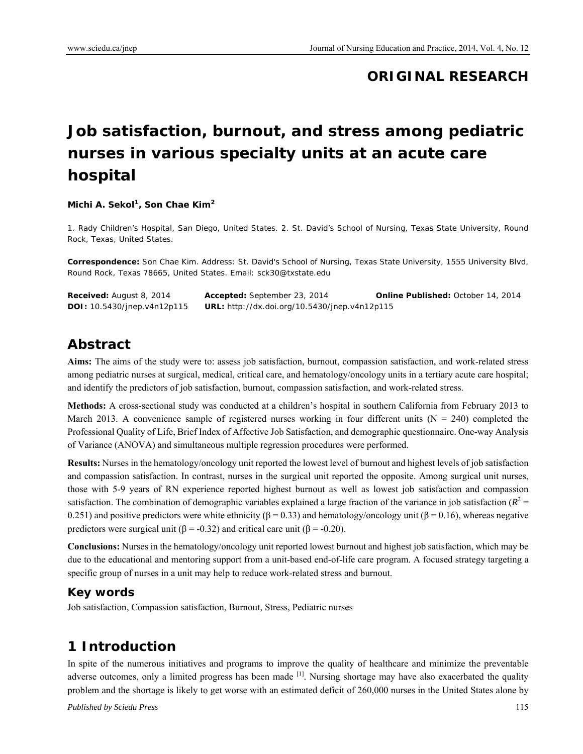# **ORIGINAL RESEARCH**

# **Job satisfaction, burnout, and stress among pediatric nurses in various specialty units at an acute care hospital**

#### **Michi A. Sekol1, Son Chae Kim2**

1. Rady Children's Hospital, San Diego, United States. 2. St. David's School of Nursing, Texas State University, Round Rock, Texas, United States.

**Correspondence:** Son Chae Kim. Address: St. David's School of Nursing, Texas State University, 1555 University Blvd, Round Rock, Texas 78665, United States. Email: sck30@txstate.edu

| <b>Received:</b> August 8, 2014    | Accepted: September 23, 2014                         | <b>Online Published: October 14, 2014</b> |
|------------------------------------|------------------------------------------------------|-------------------------------------------|
| <b>DOI:</b> 10.5430/jnep.v4n12p115 | <b>URL:</b> http://dx.doi.org/10.5430/jnep.v4n12p115 |                                           |

# **Abstract**

**Aims:** The aims of the study were to: assess job satisfaction, burnout, compassion satisfaction, and work-related stress among pediatric nurses at surgical, medical, critical care, and hematology/oncology units in a tertiary acute care hospital; and identify the predictors of job satisfaction, burnout, compassion satisfaction, and work-related stress.

**Methods:** A cross-sectional study was conducted at a children's hospital in southern California from February 2013 to March 2013. A convenience sample of registered nurses working in four different units ( $N = 240$ ) completed the Professional Quality of Life, Brief Index of Affective Job Satisfaction, and demographic questionnaire. One-way Analysis of Variance (ANOVA) and simultaneous multiple regression procedures were performed.

**Results:** Nurses in the hematology/oncology unit reported the lowest level of burnout and highest levels of job satisfaction and compassion satisfaction. In contrast, nurses in the surgical unit reported the opposite. Among surgical unit nurses, those with 5-9 years of RN experience reported highest burnout as well as lowest job satisfaction and compassion satisfaction. The combination of demographic variables explained a large fraction of the variance in job satisfaction  $(R^2 =$ 0.251) and positive predictors were white ethnicity ( $\beta$  = 0.33) and hematology/oncology unit ( $\beta$  = 0.16), whereas negative predictors were surgical unit ( $\beta$  = -0.32) and critical care unit ( $\beta$  = -0.20).

**Conclusions:** Nurses in the hematology/oncology unit reported lowest burnout and highest job satisfaction, which may be due to the educational and mentoring support from a unit-based end-of-life care program. A focused strategy targeting a specific group of nurses in a unit may help to reduce work-related stress and burnout.

#### **Key words**

Job satisfaction, Compassion satisfaction, Burnout, Stress, Pediatric nurses

# **1 Introduction**

In spite of the numerous initiatives and programs to improve the quality of healthcare and minimize the preventable adverse outcomes, only a limited progress has been made  $\left[1\right]$ . Nursing shortage may have also exacerbated the quality problem and the shortage is likely to get worse with an estimated deficit of 260,000 nurses in the United States alone by

*Published by Sciedu Press* 115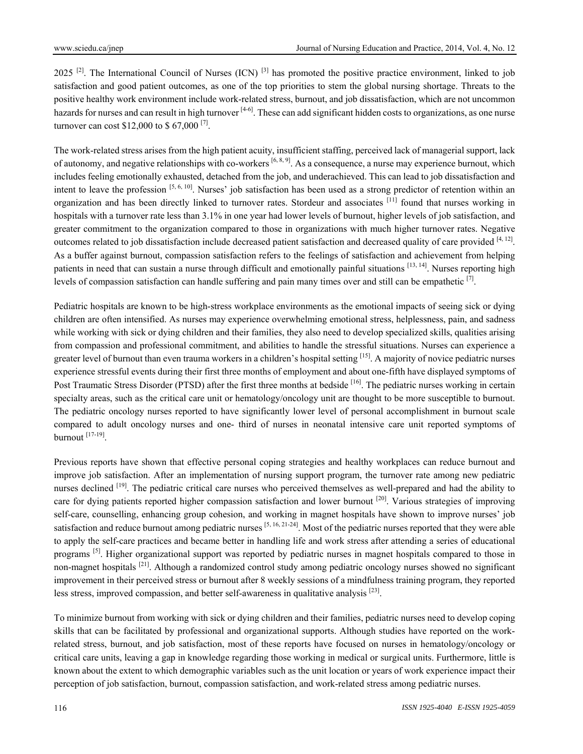2025 <sup>[2]</sup>. The International Council of Nurses (ICN) <sup>[3]</sup> has promoted the positive practice environment, linked to job satisfaction and good patient outcomes, as one of the top priorities to stem the global nursing shortage. Threats to the positive healthy work environment include work-related stress, burnout, and job dissatisfaction, which are not uncommon hazards for nurses and can result in high turnover  $[4-6]$ . These can add significant hidden costs to organizations, as one nurse turnover can cost \$12,000 to \$ 67,000 [7].

The work-related stress arises from the high patient acuity, insufficient staffing, perceived lack of managerial support, lack of autonomy, and negative relationships with co-workers  $[6, 8, 9]$ . As a consequence, a nurse may experience burnout, which includes feeling emotionally exhausted, detached from the job, and underachieved. This can lead to job dissatisfaction and intent to leave the profession  $[5, 6, 10]$ . Nurses' job satisfaction has been used as a strong predictor of retention within an organization and has been directly linked to turnover rates. Stordeur and associates  $[11]$  found that nurses working in hospitals with a turnover rate less than 3.1% in one year had lower levels of burnout, higher levels of job satisfaction, and greater commitment to the organization compared to those in organizations with much higher turnover rates. Negative outcomes related to job dissatisfaction include decreased patient satisfaction and decreased quality of care provided [4, 12]. As a buffer against burnout, compassion satisfaction refers to the feelings of satisfaction and achievement from helping patients in need that can sustain a nurse through difficult and emotionally painful situations  $^{[13, 14]}$ . Nurses reporting high levels of compassion satisfaction can handle suffering and pain many times over and still can be empathetic  $^{[7]}$ .

Pediatric hospitals are known to be high-stress workplace environments as the emotional impacts of seeing sick or dying children are often intensified. As nurses may experience overwhelming emotional stress, helplessness, pain, and sadness while working with sick or dying children and their families, they also need to develop specialized skills, qualities arising from compassion and professional commitment, and abilities to handle the stressful situations. Nurses can experience a greater level of burnout than even trauma workers in a children's hospital setting [15]. A majority of novice pediatric nurses experience stressful events during their first three months of employment and about one-fifth have displayed symptoms of Post Traumatic Stress Disorder (PTSD) after the first three months at bedside <sup>[16]</sup>. The pediatric nurses working in certain specialty areas, such as the critical care unit or hematology/oncology unit are thought to be more susceptible to burnout. The pediatric oncology nurses reported to have significantly lower level of personal accomplishment in burnout scale compared to adult oncology nurses and one- third of nurses in neonatal intensive care unit reported symptoms of burnout [17-19].

Previous reports have shown that effective personal coping strategies and healthy workplaces can reduce burnout and improve job satisfaction. After an implementation of nursing support program, the turnover rate among new pediatric nurses declined <sup>[19]</sup>. The pediatric critical care nurses who perceived themselves as well-prepared and had the ability to care for dying patients reported higher compassion satisfaction and lower burnout  $^{[20]}$ . Various strategies of improving self-care, counselling, enhancing group cohesion, and working in magnet hospitals have shown to improve nurses' job satisfaction and reduce burnout among pediatric nurses  $[5, 16, 21-24]$ . Most of the pediatric nurses reported that they were able to apply the self-care practices and became better in handling life and work stress after attending a series of educational programs <sup>[5]</sup>. Higher organizational support was reported by pediatric nurses in magnet hospitals compared to those in non-magnet hospitals [21]. Although a randomized control study among pediatric oncology nurses showed no significant improvement in their perceived stress or burnout after 8 weekly sessions of a mindfulness training program, they reported less stress, improved compassion, and better self-awareness in qualitative analysis  $\frac{[23]}{[23]}$ .

To minimize burnout from working with sick or dying children and their families, pediatric nurses need to develop coping skills that can be facilitated by professional and organizational supports. Although studies have reported on the workrelated stress, burnout, and job satisfaction, most of these reports have focused on nurses in hematology/oncology or critical care units, leaving a gap in knowledge regarding those working in medical or surgical units. Furthermore, little is known about the extent to which demographic variables such as the unit location or years of work experience impact their perception of job satisfaction, burnout, compassion satisfaction, and work-related stress among pediatric nurses.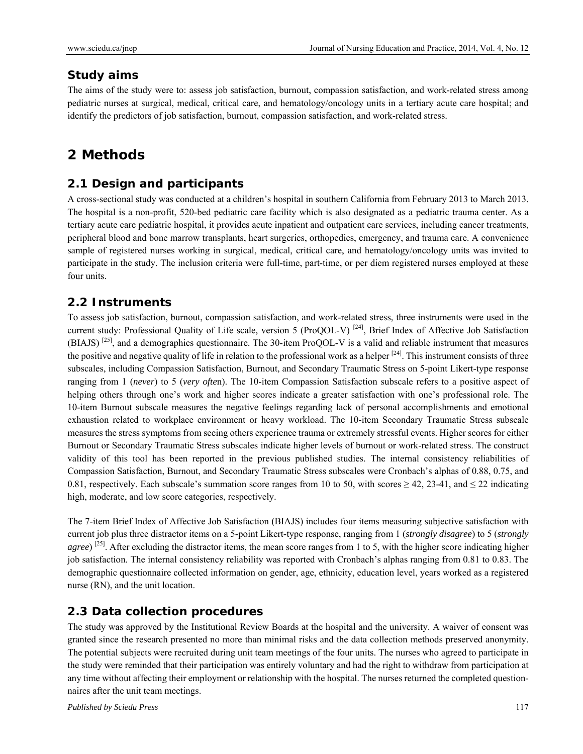#### **Study aims**

The aims of the study were to: assess job satisfaction, burnout, compassion satisfaction, and work-related stress among pediatric nurses at surgical, medical, critical care, and hematology/oncology units in a tertiary acute care hospital; and identify the predictors of job satisfaction, burnout, compassion satisfaction, and work-related stress.

# **2 Methods**

## **2.1 Design and participants**

A cross-sectional study was conducted at a children's hospital in southern California from February 2013 to March 2013. The hospital is a non-profit, 520-bed pediatric care facility which is also designated as a pediatric trauma center. As a tertiary acute care pediatric hospital, it provides acute inpatient and outpatient care services, including cancer treatments, peripheral blood and bone marrow transplants, heart surgeries, orthopedics, emergency, and trauma care. A convenience sample of registered nurses working in surgical, medical, critical care, and hematology/oncology units was invited to participate in the study. The inclusion criteria were full-time, part-time, or per diem registered nurses employed at these four units.

## **2.2 Instruments**

To assess job satisfaction, burnout, compassion satisfaction, and work-related stress, three instruments were used in the current study: Professional Quality of Life scale, version 5 (ProQOL-V)<sup>[24]</sup>, Brief Index of Affective Job Satisfaction (BIAJS)  $^{[25]}$ , and a demographics questionnaire. The 30-item ProQOL-V is a valid and reliable instrument that measures the positive and negative quality of life in relation to the professional work as a helper  $[24]$ . This instrument consists of three subscales, including Compassion Satisfaction, Burnout, and Secondary Traumatic Stress on 5-point Likert-type response ranging from 1 (*never*) to 5 (*very ofte*n). The 10-item Compassion Satisfaction subscale refers to a positive aspect of helping others through one's work and higher scores indicate a greater satisfaction with one's professional role. The 10-item Burnout subscale measures the negative feelings regarding lack of personal accomplishments and emotional exhaustion related to workplace environment or heavy workload. The 10-item Secondary Traumatic Stress subscale measures the stress symptoms from seeing others experience trauma or extremely stressful events. Higher scores for either Burnout or Secondary Traumatic Stress subscales indicate higher levels of burnout or work-related stress. The construct validity of this tool has been reported in the previous published studies. The internal consistency reliabilities of Compassion Satisfaction, Burnout, and Secondary Traumatic Stress subscales were Cronbach's alphas of 0.88, 0.75, and 0.81, respectively. Each subscale's summation score ranges from 10 to 50, with scores  $\geq$  42, 23-41, and  $\leq$  22 indicating high, moderate, and low score categories, respectively.

The 7-item Brief Index of Affective Job Satisfaction (BIAJS) includes four items measuring subjective satisfaction with current job plus three distractor items on a 5-point Likert-type response, ranging from 1 (*strongly disagree*) to 5 (*strongly agree*) <sup>[25]</sup>. After excluding the distractor items, the mean score ranges from 1 to 5, with the higher score indicating higher job satisfaction. The internal consistency reliability was reported with Cronbach's alphas ranging from 0.81 to 0.83. The demographic questionnaire collected information on gender, age, ethnicity, education level, years worked as a registered nurse (RN), and the unit location.

## **2.3 Data collection procedures**

The study was approved by the Institutional Review Boards at the hospital and the university. A waiver of consent was granted since the research presented no more than minimal risks and the data collection methods preserved anonymity. The potential subjects were recruited during unit team meetings of the four units. The nurses who agreed to participate in the study were reminded that their participation was entirely voluntary and had the right to withdraw from participation at any time without affecting their employment or relationship with the hospital. The nurses returned the completed questionnaires after the unit team meetings.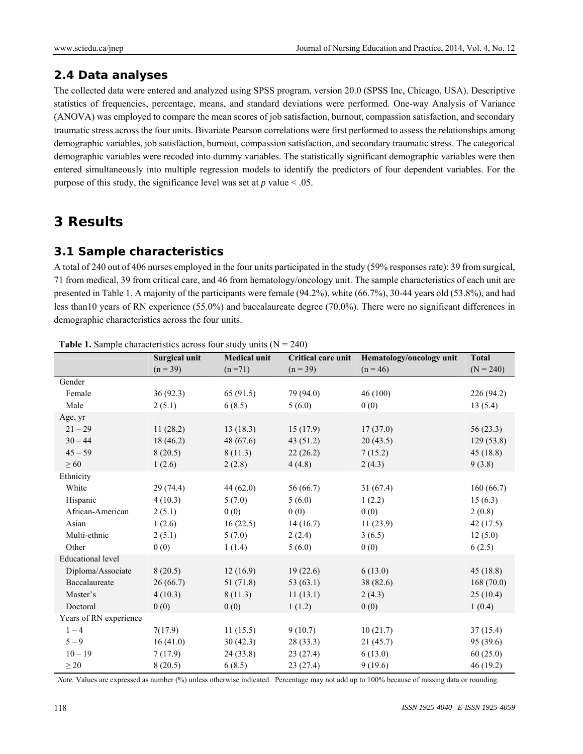## **2.4 Data analyses**

The collected data were entered and analyzed using SPSS program, version 20.0 (SPSS Inc, Chicago, USA). Descriptive statistics of frequencies, percentage, means, and standard deviations were performed. One-way Analysis of Variance (ANOVA) was employed to compare the mean scores of job satisfaction, burnout, compassion satisfaction, and secondary traumatic stress across the four units. Bivariate Pearson correlations were first performed to assess the relationships among demographic variables, job satisfaction, burnout, compassion satisfaction, and secondary traumatic stress. The categorical demographic variables were recoded into dummy variables. The statistically significant demographic variables were then entered simultaneously into multiple regression models to identify the predictors of four dependent variables. For the purpose of this study, the significance level was set at  $p$  value  $< .05$ .

# **3 Results**

## **3.1 Sample characteristics**

A total of 240 out of 406 nurses employed in the four units participated in the study (59% responses rate): 39 from surgical, 71 from medical, 39 from critical care, and 46 from hematology/oncology unit. The sample characteristics of each unit are presented in Table 1. A majority of the participants were female (94.2%), white (66.7%), 30-44 years old (53.8%), and had less than10 years of RN experience (55.0%) and baccalaureate degree (70.0%). There were no significant differences in demographic characteristics across the four units.

|                          | <b>Surgical unit</b> | <b>Medical unit</b> | Critical care unit | Hematology/oncology unit | <b>Total</b> |
|--------------------------|----------------------|---------------------|--------------------|--------------------------|--------------|
|                          | $(n = 39)$           | $(n=71)$            | $(n = 39)$         | $(n = 46)$               | $(N = 240)$  |
| Gender                   |                      |                     |                    |                          |              |
| Female                   | 36(92.3)             | 65(91.5)            | 79 (94.0)          | 46 (100)                 | 226 (94.2)   |
| Male                     | 2(5.1)               | 6(8.5)              | 5(6.0)             | 0(0)                     | 13(5.4)      |
| Age, yr                  |                      |                     |                    |                          |              |
| $21 - 29$                | 11(28.2)             | 13(18.3)            | 15(17.9)           | 17(37.0)                 | 56(23.3)     |
| $30 - 44$                | 18(46.2)             | 48(67.6)            | 43(51.2)           | 20(43.5)                 | 129(53.8)    |
| $45 - 59$                | 8(20.5)              | 8(11.3)             | 22(26.2)           | 7(15.2)                  | 45(18.8)     |
| $\geq 60$                | 1(2.6)               | 2(2.8)              | 4(4.8)             | 2(4.3)                   | 9(3.8)       |
| Ethnicity                |                      |                     |                    |                          |              |
| White                    | 29(74.4)             | 44(62.0)            | 56 (66.7)          | 31(67.4)                 | 160(66.7)    |
| Hispanic                 | 4(10.3)              | 5(7.0)              | 5(6.0)             | 1(2.2)                   | 15(6.3)      |
| African-American         | 2(5.1)               | 0(0)                | 0(0)               | 0(0)                     | 2(0.8)       |
| Asian                    | 1(2.6)               | 16(22.5)            | 14(16.7)           | 11(23.9)                 | 42(17.5)     |
| Multi-ethnic             | 2(5.1)               | 5(7.0)              | 2(2.4)             | 3(6.5)                   | 12(5.0)      |
| Other                    | 0(0)                 | 1(1.4)              | 5(6.0)             | 0(0)                     | 6(2.5)       |
| <b>Educational level</b> |                      |                     |                    |                          |              |
| Diploma/Associate        | 8(20.5)              | 12(16.9)            | 19(22.6)           | 6(13.0)                  | 45(18.8)     |
| Baccalaureate            | 26(66.7)             | 51 (71.8)           | 53 $(63.1)$        | 38 (82.6)                | 168(70.0)    |
| Master's                 | 4(10.3)              | 8(11.3)             | 11(13.1)           | 2(4.3)                   | 25(10.4)     |
| Doctoral                 | 0(0)                 | 0(0)                | 1(1.2)             | 0(0)                     | 1(0.4)       |
| Years of RN experience   |                      |                     |                    |                          |              |
| $1 - 4$                  | 7(17.9)              | 11(15.5)            | 9(10.7)            | 10(21.7)                 | 37(15.4)     |
| $5 - 9$                  | 16(41.0)             | 30(42.3)            | 28(33.3)           | 21(45.7)                 | 95 (39.6)    |
| $10 - 19$                | 7(17.9)              | 24(33.8)            | 23(27.4)           | 6(13.0)                  | 60(25.0)     |
| $\geq 20$                | 8(20.5)              | 6(8.5)              | 23(27.4)           | 9(19.6)                  | 46 (19.2)    |

**Table 1.** Sample characteristics across four study units  $(N = 240)$ 

*Note.* Values are expressed as number (%) unless otherwise indicated. Percentage may not add up to 100% because of missing data or rounding.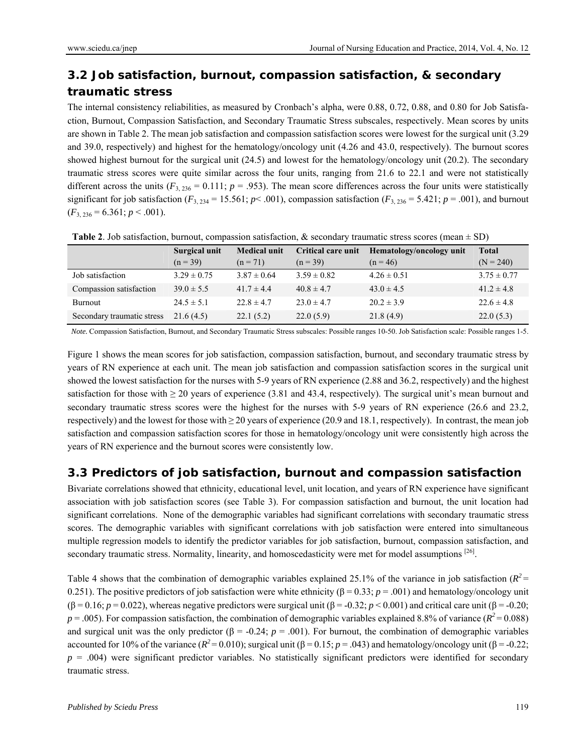# **3.2 Job satisfaction, burnout, compassion satisfaction, & secondary traumatic stress**

The internal consistency reliabilities, as measured by Cronbach's alpha, were 0.88, 0.72, 0.88, and 0.80 for Job Satisfaction, Burnout, Compassion Satisfaction, and Secondary Traumatic Stress subscales, respectively. Mean scores by units are shown in Table 2. The mean job satisfaction and compassion satisfaction scores were lowest for the surgical unit (3.29 and 39.0, respectively) and highest for the hematology/oncology unit (4.26 and 43.0, respectively). The burnout scores showed highest burnout for the surgical unit (24.5) and lowest for the hematology/oncology unit (20.2). The secondary traumatic stress scores were quite similar across the four units, ranging from 21.6 to 22.1 and were not statistically different across the units ( $F_{3, 236} = 0.111$ ;  $p = .953$ ). The mean score differences across the four units were statistically significant for job satisfaction ( $F_{3, 234}$  = 15.561;  $p$ < .001), compassion satisfaction ( $F_{3, 236}$  = 5.421;  $p$  = .001), and burnout  $(F_{3, 236} = 6.361; p < .001)$ .

**Table 2**. Job satisfaction, burnout, compassion satisfaction, & secondary traumatic stress scores (mean  $\pm$  SD)

|                            | Surgical unit   | <b>Medical unit</b> | <b>Critical care unit</b> | Hematology/oncology unit | <b>Total</b>    |
|----------------------------|-----------------|---------------------|---------------------------|--------------------------|-----------------|
|                            | $(n = 39)$      | $(n = 71)$          | $(n = 39)$                | $(n = 46)$               | $(N = 240)$     |
| Job satisfaction           | $3.29 \pm 0.75$ | $3.87 \pm 0.64$     | $3.59 \pm 0.82$           | $4.26 \pm 0.51$          | $3.75 \pm 0.77$ |
| Compassion satisfaction    | $39.0 \pm 5.5$  | $41.7 \pm 4.4$      | $40.8 \pm 4.7$            | $43.0 \pm 4.5$           | $41.2 \pm 4.8$  |
| <b>Burnout</b>             | $24.5 \pm 5.1$  | $22.8 \pm 4.7$      | $23.0 \pm 4.7$            | $20.2 \pm 3.9$           | $22.6 \pm 4.8$  |
| Secondary traumatic stress | 21.6(4.5)       | 22.1(5.2)           | 22.0(5.9)                 | 21.8(4.9)                | 22.0(5.3)       |

*Note.* Compassion Satisfaction, Burnout, and Secondary Traumatic Stress subscales: Possible ranges 10-50. Job Satisfaction scale: Possible ranges 1-5.

Figure 1 shows the mean scores for job satisfaction, compassion satisfaction, burnout, and secondary traumatic stress by years of RN experience at each unit. The mean job satisfaction and compassion satisfaction scores in the surgical unit showed the lowest satisfaction for the nurses with 5-9 years of RN experience (2.88 and 36.2, respectively) and the highest satisfaction for those with  $\geq 20$  years of experience (3.81 and 43.4, respectively). The surgical unit's mean burnout and secondary traumatic stress scores were the highest for the nurses with 5-9 years of RN experience (26.6 and 23.2, respectively) and the lowest for those with  $\geq$  20 years of experience (20.9 and 18.1, respectively). In contrast, the mean job satisfaction and compassion satisfaction scores for those in hematology/oncology unit were consistently high across the years of RN experience and the burnout scores were consistently low.

### **3.3 Predictors of job satisfaction, burnout and compassion satisfaction**

Bivariate correlations showed that ethnicity, educational level, unit location, and years of RN experience have significant association with job satisfaction scores (see Table 3). For compassion satisfaction and burnout, the unit location had significant correlations. None of the demographic variables had significant correlations with secondary traumatic stress scores. The demographic variables with significant correlations with job satisfaction were entered into simultaneous multiple regression models to identify the predictor variables for job satisfaction, burnout, compassion satisfaction, and secondary traumatic stress. Normality, linearity, and homoscedasticity were met for model assumptions [26].

Table 4 shows that the combination of demographic variables explained 25.1% of the variance in job satisfaction  $(R^2 =$ 0.251). The positive predictors of job satisfaction were white ethnicity ( $\beta$  = 0.33; *p* = .001) and hematology/oncology unit  $(\beta = 0.16; p = 0.022)$ , whereas negative predictors were surgical unit  $(\beta = -0.32; p < 0.001)$  and critical care unit  $(\beta = -0.20;$  $p = .005$ ). For compassion satisfaction, the combination of demographic variables explained 8.8% of variance ( $R^2 = 0.088$ ) and surgical unit was the only predictor  $(\beta = -0.24; p = .001)$ . For burnout, the combination of demographic variables accounted for 10% of the variance ( $R^2$  = 0.010); surgical unit ( $β$  = 0.15;  $p$  = .043) and hematology/oncology unit ( $β$  = -0.22;  $p = .004$ ) were significant predictor variables. No statistically significant predictors were identified for secondary traumatic stress.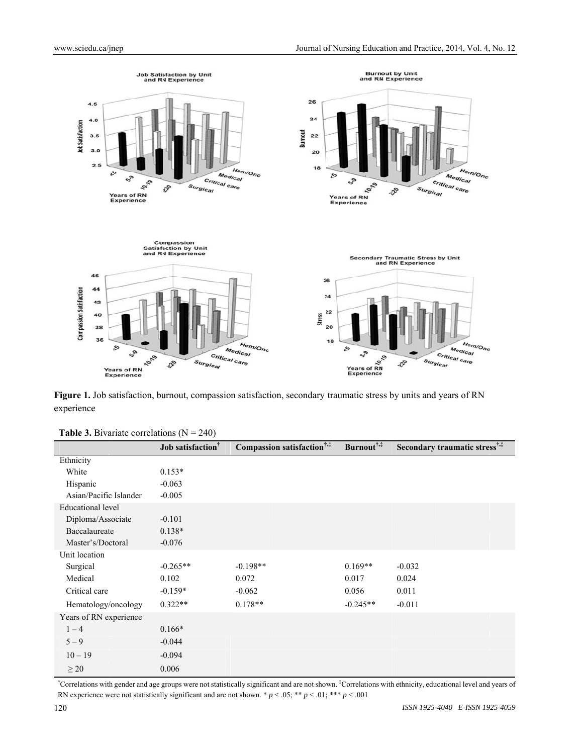

**Figure 1.** Job satisfaction, burnout, compassion satisfaction, secondary traumatic stress by units and years of RN e experience

|                          | Job satisfaction <sup>†</sup> | Compassion satisfaction <sup>†,‡</sup> | Burnout <sup>†,‡</sup> | Secondary traumatic stress <sup>†,‡</sup> |  |
|--------------------------|-------------------------------|----------------------------------------|------------------------|-------------------------------------------|--|
| Ethnicity                |                               |                                        |                        |                                           |  |
| White                    | $0.153*$                      |                                        |                        |                                           |  |
| Hispanic                 | $-0.063$                      |                                        |                        |                                           |  |
| Asian/Pacific Islander   | $-0.005$                      |                                        |                        |                                           |  |
| <b>Educational</b> level |                               |                                        |                        |                                           |  |
| Diploma/Associate        | $-0.101$                      |                                        |                        |                                           |  |
| Baccalaureate            | $0.138*$                      |                                        |                        |                                           |  |
| Master's/Doctoral        | $-0.076$                      |                                        |                        |                                           |  |
| Unit location            |                               |                                        |                        |                                           |  |
| Surgical                 | $-0.265**$                    | $-0.198**$                             | $0.169**$              | $-0.032$                                  |  |
| Medical                  | 0.102                         | 0.072                                  | 0.017                  | 0.024                                     |  |
| Critical care            | $-0.159*$                     | $-0.062$                               | 0.056                  | 0.011                                     |  |
| Hematology/oncology      | $0.322**$                     | $0.178**$                              | $-0.245**$             | $-0.011$                                  |  |
| Years of RN experience   |                               |                                        |                        |                                           |  |
| $1 - 4$                  | $0.166*$                      |                                        |                        |                                           |  |
| $5 - 9$                  | $-0.044$                      |                                        |                        |                                           |  |
| $10 - 19$                | $-0.094$                      |                                        |                        |                                           |  |
| $\geq 20$                | 0.006                         |                                        |                        |                                           |  |

**Table 3.** Bivariate correlations  $(N = 240)$ 

<sup>†</sup>Correlations with gender and age groups were not statistically significant and are not shown. <sup>‡</sup>Correlations with ethnicity, educational level and years of RN experience were not statistically significant and are not shown. \*  $p < .05$ ; \*\*  $p < .01$ ; \*\*\*  $p < .001$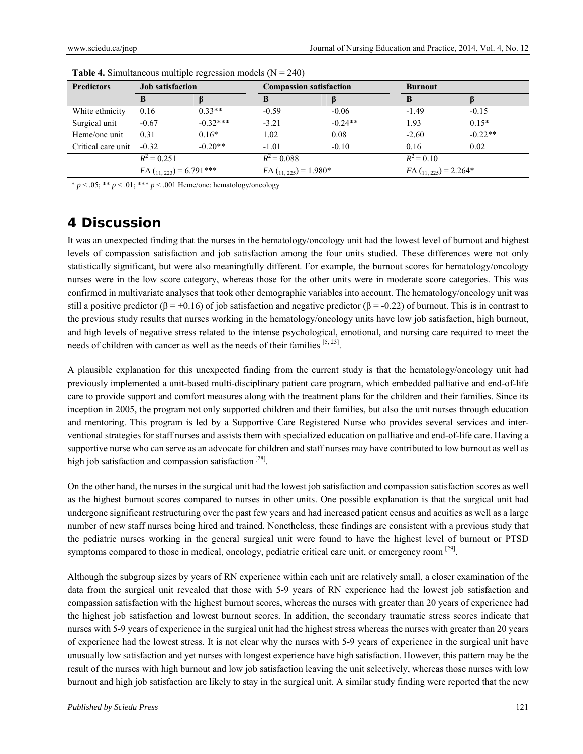| <b>Predictors</b>  | <b>Job</b> satisfaction        |            | <b>Compassion satisfaction</b> |           | <b>Burnout</b> |                              |  |
|--------------------|--------------------------------|------------|--------------------------------|-----------|----------------|------------------------------|--|
|                    | B                              |            | B                              |           | B              |                              |  |
| White ethnicity    | 0.16                           | $0.33**$   | $-0.59$                        | $-0.06$   | $-1.49$        | $-0.15$                      |  |
| Surgical unit      | $-0.67$                        | $-0.32***$ | $-3.21$                        | $-0.24**$ | 1.93           | $0.15*$                      |  |
| Heme/onc unit      | 0.31                           | $0.16*$    | 1.02                           | 0.08      | $-2.60$        | $-0.22**$                    |  |
| Critical care unit | $-0.32$                        | $-0.20**$  | $-1.01$                        | $-0.10$   | 0.16           | 0.02                         |  |
|                    | $R^2 = 0.251$                  |            | $R^2 = 0.088$                  |           | $R^2 = 0.10$   |                              |  |
|                    | $F\Delta$ (11, 223) = 6.791*** |            | $F\Delta$ (11, 225) = 1.980*   |           |                | $F\Delta$ (11, 225) = 2.264* |  |

**Table 4.** Simultaneous multiple regression models  $(N = 240)$ 

\*  $p < .05$ ; \*\*  $p < .01$ ; \*\*\*  $p < .001$  Heme/onc: hematology/oncology

# **4 Discussion**

It was an unexpected finding that the nurses in the hematology/oncology unit had the lowest level of burnout and highest levels of compassion satisfaction and job satisfaction among the four units studied. These differences were not only statistically significant, but were also meaningfully different. For example, the burnout scores for hematology/oncology nurses were in the low score category, whereas those for the other units were in moderate score categories. This was confirmed in multivariate analyses that took other demographic variables into account. The hematology/oncology unit was still a positive predictor ( $\beta = +0.16$ ) of job satisfaction and negative predictor ( $\beta = -0.22$ ) of burnout. This is in contrast to the previous study results that nurses working in the hematology/oncology units have low job satisfaction, high burnout, and high levels of negative stress related to the intense psychological, emotional, and nursing care required to meet the needs of children with cancer as well as the needs of their families  $[5, 23]$ .

A plausible explanation for this unexpected finding from the current study is that the hematology/oncology unit had previously implemented a unit-based multi-disciplinary patient care program, which embedded palliative and end-of-life care to provide support and comfort measures along with the treatment plans for the children and their families. Since its inception in 2005, the program not only supported children and their families, but also the unit nurses through education and mentoring. This program is led by a Supportive Care Registered Nurse who provides several services and interventional strategies for staff nurses and assists them with specialized education on palliative and end-of-life care. Having a supportive nurse who can serve as an advocate for children and staff nurses may have contributed to low burnout as well as high job satisfaction and compassion satisfaction [28].

On the other hand, the nurses in the surgical unit had the lowest job satisfaction and compassion satisfaction scores as well as the highest burnout scores compared to nurses in other units. One possible explanation is that the surgical unit had undergone significant restructuring over the past few years and had increased patient census and acuities as well as a large number of new staff nurses being hired and trained. Nonetheless, these findings are consistent with a previous study that the pediatric nurses working in the general surgical unit were found to have the highest level of burnout or PTSD symptoms compared to those in medical, oncology, pediatric critical care unit, or emergency room  $[29]$ .

Although the subgroup sizes by years of RN experience within each unit are relatively small, a closer examination of the data from the surgical unit revealed that those with 5-9 years of RN experience had the lowest job satisfaction and compassion satisfaction with the highest burnout scores, whereas the nurses with greater than 20 years of experience had the highest job satisfaction and lowest burnout scores. In addition, the secondary traumatic stress scores indicate that nurses with 5-9 years of experience in the surgical unit had the highest stress whereas the nurses with greater than 20 years of experience had the lowest stress. It is not clear why the nurses with 5-9 years of experience in the surgical unit have unusually low satisfaction and yet nurses with longest experience have high satisfaction. However, this pattern may be the result of the nurses with high burnout and low job satisfaction leaving the unit selectively, whereas those nurses with low burnout and high job satisfaction are likely to stay in the surgical unit. A similar study finding were reported that the new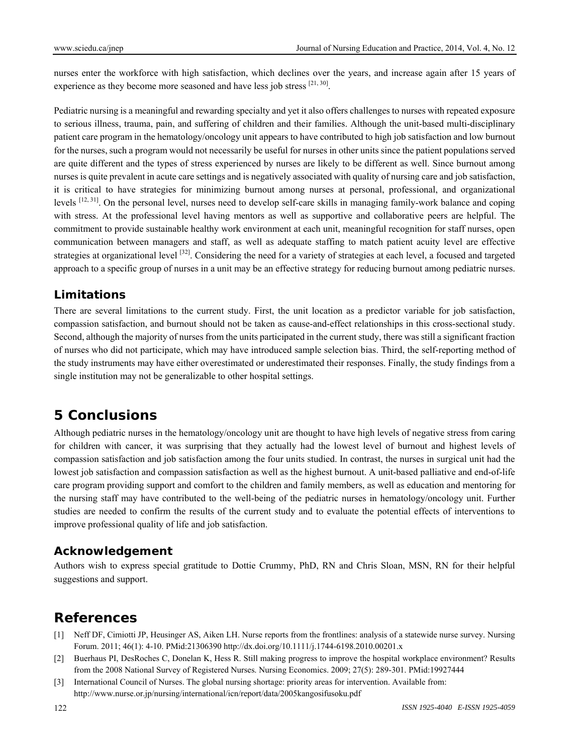nurses enter the workforce with high satisfaction, which declines over the years, and increase again after 15 years of experience as they become more seasoned and have less job stress  $[21, 30]$ .

Pediatric nursing is a meaningful and rewarding specialty and yet it also offers challenges to nurses with repeated exposure to serious illness, trauma, pain, and suffering of children and their families. Although the unit-based multi-disciplinary patient care program in the hematology/oncology unit appears to have contributed to high job satisfaction and low burnout for the nurses, such a program would not necessarily be useful for nurses in other units since the patient populations served are quite different and the types of stress experienced by nurses are likely to be different as well. Since burnout among nurses is quite prevalent in acute care settings and is negatively associated with quality of nursing care and job satisfaction, it is critical to have strategies for minimizing burnout among nurses at personal, professional, and organizational levels  $^{[12, 31]}$ . On the personal level, nurses need to develop self-care skills in managing family-work balance and coping with stress. At the professional level having mentors as well as supportive and collaborative peers are helpful. The commitment to provide sustainable healthy work environment at each unit, meaningful recognition for staff nurses, open communication between managers and staff, as well as adequate staffing to match patient acuity level are effective strategies at organizational level  $^{[32]}$ . Considering the need for a variety of strategies at each level, a focused and targeted approach to a specific group of nurses in a unit may be an effective strategy for reducing burnout among pediatric nurses.

#### **Limitations**

There are several limitations to the current study. First, the unit location as a predictor variable for job satisfaction, compassion satisfaction, and burnout should not be taken as cause-and-effect relationships in this cross-sectional study. Second, although the majority of nurses from the units participated in the current study, there was still a significant fraction of nurses who did not participate, which may have introduced sample selection bias. Third, the self-reporting method of the study instruments may have either overestimated or underestimated their responses. Finally, the study findings from a single institution may not be generalizable to other hospital settings.

# **5 Conclusions**

Although pediatric nurses in the hematology/oncology unit are thought to have high levels of negative stress from caring for children with cancer, it was surprising that they actually had the lowest level of burnout and highest levels of compassion satisfaction and job satisfaction among the four units studied. In contrast, the nurses in surgical unit had the lowest job satisfaction and compassion satisfaction as well as the highest burnout. A unit-based palliative and end-of-life care program providing support and comfort to the children and family members, as well as education and mentoring for the nursing staff may have contributed to the well-being of the pediatric nurses in hematology/oncology unit. Further studies are needed to confirm the results of the current study and to evaluate the potential effects of interventions to improve professional quality of life and job satisfaction.

### **Acknowledgement**

Authors wish to express special gratitude to Dottie Crummy, PhD, RN and Chris Sloan, MSN, RN for their helpful suggestions and support.

## **References**

- [1] Neff DF, Cimiotti JP, Heusinger AS, Aiken LH. Nurse reports from the frontlines: analysis of a statewide nurse survey. Nursing Forum. 2011; 46(1): 4-10. PMid:21306390 http://dx.doi.org/10.1111/j.1744-6198.2010.00201.x
- [2] Buerhaus PI, DesRoches C, Donelan K, Hess R. Still making progress to improve the hospital workplace environment? Results from the 2008 National Survey of Registered Nurses. Nursing Economics. 2009; 27(5): 289-301. PMid:19927444
- [3] International Council of Nurses. The global nursing shortage: priority areas for intervention. Available from: http://www.nurse.or.jp/nursing/international/icn/report/data/2005kangosifusoku.pdf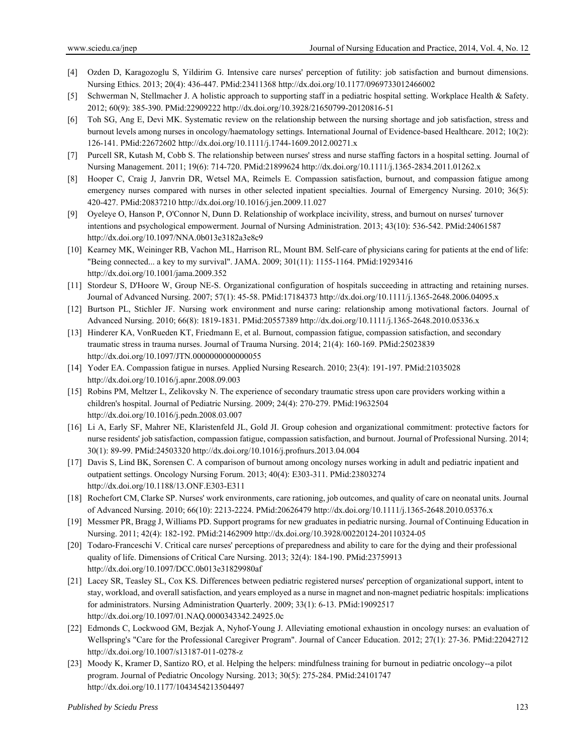- [4] Ozden D, Karagozoglu S, Yildirim G. Intensive care nurses' perception of futility: job satisfaction and burnout dimensions. Nursing Ethics. 2013; 20(4): 436-447. PMid:23411368 http://dx.doi.org/10.1177/0969733012466002
- [5] Schwerman N, Stellmacher J. A holistic approach to supporting staff in a pediatric hospital setting. Workplace Health & Safety. 2012; 60(9): 385-390. PMid:22909222 http://dx.doi.org/10.3928/21650799-20120816-51
- [6] Toh SG, Ang E, Devi MK. Systematic review on the relationship between the nursing shortage and job satisfaction, stress and burnout levels among nurses in oncology/haematology settings. International Journal of Evidence-based Healthcare. 2012; 10(2): 126-141. PMid:22672602 http://dx.doi.org/10.1111/j.1744-1609.2012.00271.x
- [7] Purcell SR, Kutash M, Cobb S. The relationship between nurses' stress and nurse staffing factors in a hospital setting. Journal of Nursing Management. 2011; 19(6): 714-720. PMid:21899624 http://dx.doi.org/10.1111/j.1365-2834.2011.01262.x
- [8] Hooper C, Craig J, Janvrin DR, Wetsel MA, Reimels E. Compassion satisfaction, burnout, and compassion fatigue among emergency nurses compared with nurses in other selected inpatient specialties. Journal of Emergency Nursing. 2010; 36(5): 420-427. PMid:20837210 http://dx.doi.org/10.1016/j.jen.2009.11.027
- [9] Oyeleye O, Hanson P, O'Connor N, Dunn D. Relationship of workplace incivility, stress, and burnout on nurses' turnover intentions and psychological empowerment. Journal of Nursing Administration. 2013; 43(10): 536-542. PMid:24061587 http://dx.doi.org/10.1097/NNA.0b013e3182a3e8c9
- [10] Kearney MK, Weininger RB, Vachon ML, Harrison RL, Mount BM. Self-care of physicians caring for patients at the end of life: "Being connected... a key to my survival". JAMA. 2009; 301(11): 1155-1164. PMid:19293416 http://dx.doi.org/10.1001/jama.2009.352
- [11] Stordeur S, D'Hoore W, Group NE-S. Organizational configuration of hospitals succeeding in attracting and retaining nurses. Journal of Advanced Nursing. 2007; 57(1): 45-58. PMid:17184373 http://dx.doi.org/10.1111/j.1365-2648.2006.04095.x
- [12] Burtson PL, Stichler JF. Nursing work environment and nurse caring: relationship among motivational factors. Journal of Advanced Nursing. 2010; 66(8): 1819-1831. PMid:20557389 http://dx.doi.org/10.1111/j.1365-2648.2010.05336.x
- [13] Hinderer KA, VonRueden KT, Friedmann E, et al. Burnout, compassion fatigue, compassion satisfaction, and secondary traumatic stress in trauma nurses. Journal of Trauma Nursing. 2014; 21(4): 160-169. PMid:25023839 http://dx.doi.org/10.1097/JTN.0000000000000055
- [14] Yoder EA. Compassion fatigue in nurses. Applied Nursing Research. 2010; 23(4): 191-197. PMid:21035028 http://dx.doi.org/10.1016/j.apnr.2008.09.003
- [15] Robins PM, Meltzer L, Zelikovsky N. The experience of secondary traumatic stress upon care providers working within a children's hospital. Journal of Pediatric Nursing. 2009; 24(4): 270-279. PMid:19632504 http://dx.doi.org/10.1016/j.pedn.2008.03.007
- [16] Li A, Early SF, Mahrer NE, Klaristenfeld JL, Gold JI. Group cohesion and organizational commitment: protective factors for nurse residents' job satisfaction, compassion fatigue, compassion satisfaction, and burnout. Journal of Professional Nursing. 2014; 30(1): 89-99. PMid:24503320 http://dx.doi.org/10.1016/j.profnurs.2013.04.004
- [17] Davis S, Lind BK, Sorensen C. A comparison of burnout among oncology nurses working in adult and pediatric inpatient and outpatient settings. Oncology Nursing Forum. 2013; 40(4): E303-311. PMid:23803274 http://dx.doi.org/10.1188/13.ONF.E303-E311
- [18] Rochefort CM, Clarke SP. Nurses' work environments, care rationing, job outcomes, and quality of care on neonatal units. Journal of Advanced Nursing. 2010; 66(10): 2213-2224. PMid:20626479 http://dx.doi.org/10.1111/j.1365-2648.2010.05376.x
- [19] Messmer PR, Bragg J, Williams PD. Support programs for new graduates in pediatric nursing. Journal of Continuing Education in Nursing. 2011; 42(4): 182-192. PMid:21462909 http://dx.doi.org/10.3928/00220124-20110324-05
- [20] Todaro-Franceschi V. Critical care nurses' perceptions of preparedness and ability to care for the dying and their professional quality of life. Dimensions of Critical Care Nursing. 2013; 32(4): 184-190. PMid:23759913 http://dx.doi.org/10.1097/DCC.0b013e31829980af
- [21] Lacey SR, Teasley SL, Cox KS. Differences between pediatric registered nurses' perception of organizational support, intent to stay, workload, and overall satisfaction, and years employed as a nurse in magnet and non-magnet pediatric hospitals: implications for administrators. Nursing Administration Quarterly. 2009; 33(1): 6-13. PMid:19092517 http://dx.doi.org/10.1097/01.NAQ.0000343342.24925.0c
- [22] Edmonds C, Lockwood GM, Bezjak A, Nyhof-Young J. Alleviating emotional exhaustion in oncology nurses: an evaluation of Wellspring's "Care for the Professional Caregiver Program". Journal of Cancer Education. 2012; 27(1): 27-36. PMid:22042712 http://dx.doi.org/10.1007/s13187-011-0278-z
- [23] Moody K, Kramer D, Santizo RO, et al. Helping the helpers: mindfulness training for burnout in pediatric oncology--a pilot program. Journal of Pediatric Oncology Nursing. 2013; 30(5): 275-284. PMid:24101747 http://dx.doi.org/10.1177/1043454213504497